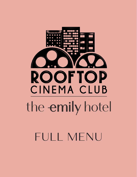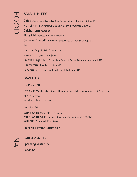# **SMALL BITES**

**Chips** Cape Berry Salsa, Salsa Roja, or Guacamole - 1 Dip \$6 | 3 Dips \$14 **Nut Mix** Fried Chickpeas, Marcona Almonds, Dehydrated Olives \$8 **Chicharrones** Queso \$8 **Elote Pibil** Achiote Aioli, Pork Floss \$8 **Oaxacan Quesadilla** Refried Beans, Queso Oaxaca, Salsa Rojo \$10 **Tacos**  Mushroom Tinga, Radish, Cilantro \$14 Buffalo Chicken, Garlic, Cotija \$12 **Smash Burger** Rajas, Pepper Jack, Smoked Pickles, Onions, Achiote Aioli \$18 **Charcuterie** Dried Fruit, Olives \$16 **Popcorn** Sweet, Savory, or Blend - Small \$8 | Large \$10

## **SWEETS**

**Cookies \$4**

**Ice Cream \$8** Trash Can Vanilla Gelato, Cookie Dough, Butterscotch, Chocolate Covered Potato Chips Sorbet Seasonal Vanilla Gelato Bon Bons

**Won't Share** Chocolate Chip Cookie **Might Share** White Chocolate Chip, Macadamia, Cranberry Cookie **Will Share** Oatmeal Raisin Cookie

**Snickered Pretzel Sticks \$12**

 $\gtrsim$ 

**Bottled Water \$5**

**Sparkling Water \$5**

**Sodas \$4**